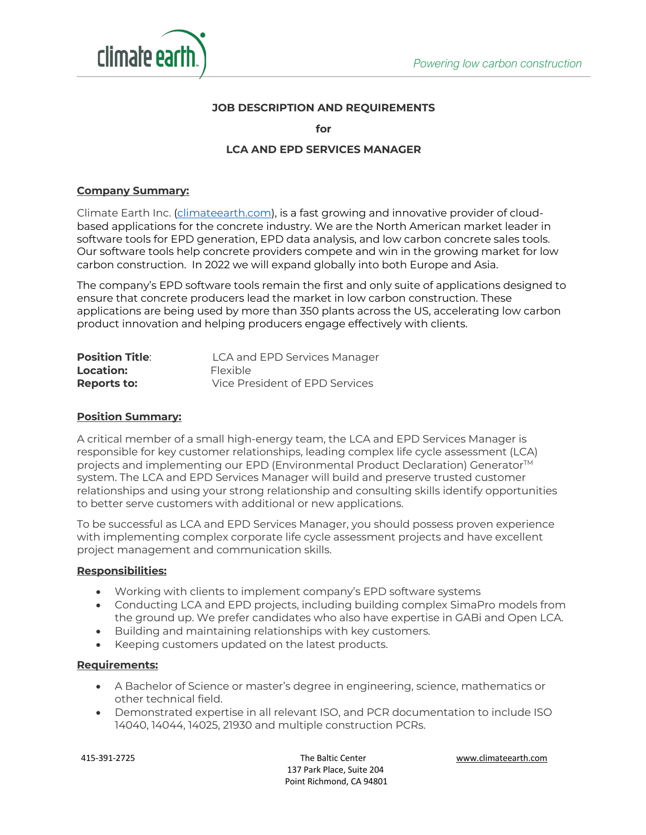

## **JOB DESCRIPTION AND REQUIREMENTS**

**for**

## **LCA AND EPD SERVICES MANAGER**

### **Company Summary:**

Climate Earth Inc. (climateearth.com), is a fast growing and innovative provider of cloudbased applications for the concrete industry. We are the North American market leader in software tools for EPD generation, EPD data analysis, and low carbon concrete sales tools. Our software tools help concrete providers compete and win in the growing market for low carbon construction. In 2022 we will expand globally into both Europe and Asia.

The company's EPD software tools remain the first and only suite of applications designed to ensure that concrete producers lead the market in low carbon construction. These applications are being used by more than 350 plants across the US, accelerating low carbon product innovation and helping producers engage effectively with clients.

| <b>Position Title:</b> | LCA and EPD Services Manager   |
|------------------------|--------------------------------|
| Location:              | <b>Flexible</b>                |
| <b>Reports to:</b>     | Vice President of EPD Services |

### **Position Summary:**

A critical member of a small high-energy team, the LCA and EPD Services Manager is responsible for key customer relationships, leading complex life cycle assessment (LCA) projects and implementing our EPD (Environmental Product Declaration) Generator<sup>™</sup> system. The LCA and EPD Services Manager will build and preserve trusted customer relationships and using your strong relationship and consulting skills identify opportunities to better serve customers with additional or new applications.

To be successful as LCA and EPD Services Manager, you should possess proven experience with implementing complex corporate life cycle assessment projects and have excellent project management and communication skills.

#### **Responsibilities:**

- Working with clients to implement company's EPD software systems
- Conducting LCA and EPD projects, including building complex SimaPro models from the ground up. We prefer candidates who also have expertise in GABi and Open LCA.
- Building and maintaining relationships with key customers.
- Keeping customers updated on the latest products.

#### **Requirements:**

- A Bachelor of Science or master's degree in engineering, science, mathematics or other technical field.
- Demonstrated expertise in all relevant ISO, and PCR documentation to include ISO 14040, 14044, 14025, 21930 and multiple construction PCRs.

 415-391-2725 The Baltic Center www.climateearth.com 137 Park Place, Suite 204 Point Richmond, CA 94801